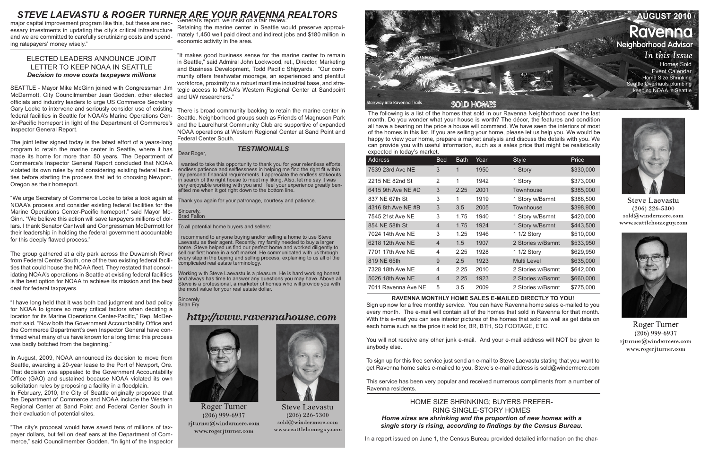The following is a list of the homes that sold in our Ravenna Neighborhood over the last month. Do you wonder what your house is worth? The décor, the features and condition all have a bearing on the price a house will command. We have seen the interiors of most of the homes in this list. If you are selling your home, please let us help you. We would be happy to view your home, prepare a market analysis and discuss the details with you. We can provide you with useful information, such as a sales price that might be realistically expected in today's market.

| <b>Address</b>      | <b>Bed</b>     | <b>Bath</b>   | Year | <b>Style</b>      | Price     |
|---------------------|----------------|---------------|------|-------------------|-----------|
| 7539 23rd Ave NE    | 3              | 1             | 1950 | 1 Story           | \$330,000 |
| 2215 NE 82nd St     | 2              | 1             | 1942 | 1 Story           | \$373,000 |
| 6415 9th Ave NE #D  | 3              | 2.25          | 2001 | Townhouse         | \$385,000 |
| 837 NE 67th St      | 3              | 1             | 1919 | 1 Story w/Bsmnt   | \$388,500 |
| 4316 8th Ave NE #B  | 3              | 3.5           | 2005 | Townhouse         | \$398,900 |
| 7545 21st Ave NE    | 3              | 1.75          | 1940 | 1 Story w/Bsmnt   | \$420,000 |
| 854 NE 58th St      | $\overline{4}$ | 1.75          | 1924 | 1 Story w/Bsmnt   | \$443,500 |
| 7024 14th Ave NE    | 3              | 1.25          | 1946 | 1 1/2 Story       | \$510,000 |
| 6218 12th Ave NE    | $\overline{4}$ | $1.5^{\circ}$ | 1907 | 2 Stories w/Bsmnt | \$533,950 |
| 7701 17th Ave NE    | 4              | 2.25          | 1928 | 1 1/2 Story       | \$629,950 |
| 819 NE 65th         | 9              | 2.5           | 1923 | Multi Level       | \$635,000 |
| 7328 18th Ave NE    | 4              | 2.25          | 2010 | 2 Stories w/Bsmnt | \$642,000 |
| 5026 18th Ave NE    | $\overline{4}$ | 2.25          | 1923 | 2 Stories w/Bsmnt | \$660,000 |
| 7011 Ravenna Ave NE | 5              | 3.5           | 2009 | 2 Stories w/Bsmnt | \$775,000 |

# **RAVENNA MONTHLY HOME SALES E-MAILED DIRECTLY TO YOU!**

Sign up now for a free monthly service. You can have Ravenna home sales e-mailed to you every month. The e-mail will contain all of the homes that sold in Ravenna for that month. With this e-mail you can see interior pictures of the homes that sold as well as get data on each home such as the price it sold for, BR, BTH, SQ FOOTAGE, ETC.

You will not receive any other junk e-mail. And your e-mail address will NOT be given to anybody else.

To sign up for this free service just send an e-mail to Steve Laevastu stating that you want to get Ravenna home sales e-mailed to you. Steve's e-mail address is sold@windermere.com

This service has been very popular and received numerous compliments from a number of Ravenna residents.

# *TESTIMONIALS*

# HOME SIZE SHRINKING; BUYERS PREFER-RING SINGLE-STORY HOMES *Home sizes are shrinking and the proportion of new homes with a single story is rising, according to findings by the Census Bureau.*

In a report issued on June 1, the Census Bureau provided detailed information on the char-





**Steve Laevastu**  $(206)$  226-5300 sold@windermere.com www.seattlehomeguy.com



**Roger Turner**  $(206)$  999-6937 rjturner@windermere.com www.rogerjturner.com

major capital improvement program like this, but these are necessary investments in updating the city's critical infrastructure and we are committed to carefully scrutinizing costs and spending ratepayers' money wisely."

# ELECTED LEADERS ANNOUNCE JOINT LETTER TO KEEP NOAA IN SEATTLE *Decision to move costs taxpayers millions*

SEATTLE - Mayor Mike McGinn joined with Congressman Jim McDermott, City Councilmember Jean Godden, other elected officials and industry leaders to urge US Commerce Secretary Gary Locke to intervene and seriously consider use of existing federal facilities in Seattle for NOAA's Marine Operations Center-Pacific homeport in light of the Department of Commerce's Inspector General Report.

The joint letter signed today is the latest effort of a years-long program to retain the marine center in Seattle, where it has made its home for more than 50 years. The Department of Commerce's Inspector General Report concluded that NOAA violated its own rules by not considering existing federal facilities before starting the process that led to choosing Newport, Oregon as their homeport.

> recommend to anyone buying and/or selling a home to use Steve Laevastu as their agent. Recently, my family needed to buy a larger home. Steve helped us find our perfect home and worked diligently to sell our first home in a soft market. He communicated with us through every step in the buying and selling process, explaining to us all of the complicated real estate terminology.

**Sincerely** Brian Fry

# http://www.ravennahouse.com



**Roger Turner**  $(206)$  999-6937 rjturner@windermere.com www.rogerjturner.com

"We urge Secretary of Commerce Locke to take a look again at NOAA's process and consider existing federal facilities for the Marine Operations Center-Pacific homeport," said Mayor Mc-Ginn. "We believe this action will save taxpayers millions of dollars. I thank Senator Cantwell and Congressman McDermott for their leadership in holding the federal government accountable for this deeply flawed process."



**Steve Laevastu**  $(206)$  226-5300  $\text{solid}(\widehat{a})$ windermere.com www.seattlehomeguy.com



The group gathered at a city park across the Duwamish River from Federal Center South, one of the two existing federal facilities that could house the NOAA fleet. They restated that consolidating NOAA's operations in Seattle at existing federal facilities is the best option for NOAA to achieve its mission and the best deal for federal taxpayers.

"I have long held that it was both bad judgment and bad policy for NOAA to ignore so many critical factors when deciding a location for its Marine Operations Center-Pacific," Rep. McDermott said. "Now both the Government Accountability Office and the Commerce Department's own Inspector General have confirmed what many of us have known for a long time: this process was badly botched from the beginning."

In August, 2009, NOAA announced its decision to move from Seattle, awarding a 20-year lease to the Port of Newport, Ore. That decision was appealed to the Government Accountability Office (GAO) and sustained because NOAA violated its own solicitation rules by proposing a facility in a floodplain. In February, 2010, the City of Seattle originally proposed that

the Department of Commerce and NOAA include the Western Regional Center at Sand Point and Federal Center South in their evaluation of potential sites.

"The city's proposal would have saved tens of millions of taxpayer dollars, but fell on deaf ears at the Department of Commerce," said Councilmember Godden. "In light of the Inspector

Retaining the marine center in Seattle would preserve approximately 1,450 well paid direct and indirect jobs and \$180 million in economic activity in the area.

"It makes good business sense for the marine center to remain in Seattle," said Admiral John Lockwood, ret., Director, Marketing and Business Development, Todd Pacific Shipyards. "Our community offers freshwater moorage, an experienced and plentiful workforce, proximity to a robust maritime industrial base, and strategic access to NOAA's Western Regional Center at Sandpoint and UW researchers."

There is broad community backing to retain the marine center in Seattle. Neighborhood groups such as Friends of Magnuson Park and the Laurelhurst Community Club are supportive of expanded NOAA operations at Western Regional Center at Sand Point and Federal Center South.

Dear Roger,

I wanted to take this opportunity to thank you for your relentless efforts, endless patience and selflessness in helping me find the right fit within my personal financial requirements. I appreciate the endless stakeouts in search of the right house to meet my liking. Also, let me say it was very enjoyable working with you and I feel your experience greatly benefited me when it got right down to the bottom line.

Thank you again for your patronage, courtesy and patience.

Sincerely, Brad Fallon

To all potential home buyers and sellers:

Working with Steve Laevastu is a pleasure. He is hard working honest and always has time to answer any questions you may have. Above all Steve is a professional, a marketer of homes who will provide you with the most value for your real estate dollar.